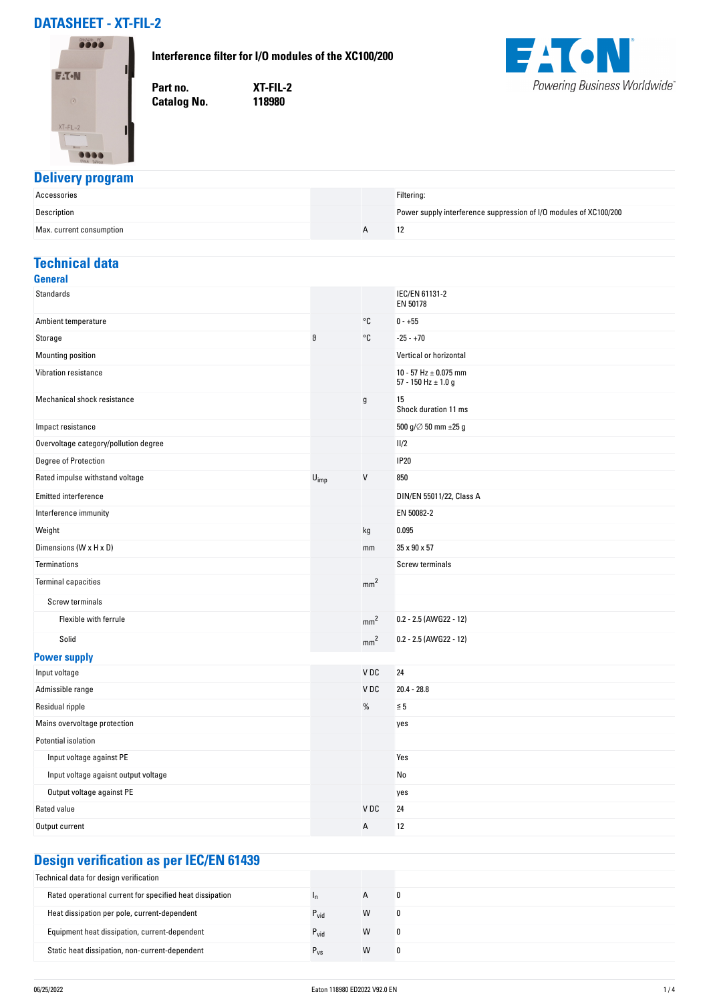# **DATASHEET - XT-FIL-2**

#### **Interference filter for I/O modules of the XC100/200**



**Part no. XT-FIL-2 Catalog No.** 



### **Delivery program**

| Accessories              |  | Filtering:                                                        |
|--------------------------|--|-------------------------------------------------------------------|
| Description              |  | Power supply interference suppression of I/O modules of XC100/200 |
| Max. current consumption |  |                                                                   |

## **Technical data**

| <b>General</b>                        |                             |                 |                                                      |
|---------------------------------------|-----------------------------|-----------------|------------------------------------------------------|
| <b>Standards</b>                      |                             |                 | IEC/EN 61131-2<br>EN 50178                           |
| Ambient temperature                   |                             | °C              | $0 - +55$                                            |
| Storage                               | θ                           | °C              | $-25 - +70$                                          |
| Mounting position                     |                             |                 | Vertical or horizontal                               |
| Vibration resistance                  |                             |                 | 10 - 57 Hz $\pm$ 0.075 mm<br>57 - 150 Hz $\pm$ 1.0 g |
| Mechanical shock resistance           |                             | $\mathsf g$     | 15<br>Shock duration 11 ms                           |
| Impact resistance                     |                             |                 | 500 g/ $\varnothing$ 50 mm $\pm 25$ g                |
| Overvoltage category/pollution degree |                             |                 | 11/2                                                 |
| Degree of Protection                  |                             |                 | <b>IP20</b>                                          |
| Rated impulse withstand voltage       | $\mathsf{U}_{\mathsf{imp}}$ | V               | 850                                                  |
| <b>Emitted interference</b>           |                             |                 | DIN/EN 55011/22, Class A                             |
| Interference immunity                 |                             |                 | EN 50082-2                                           |
| Weight                                |                             | kg              | 0.095                                                |
| Dimensions (W x H x D)                |                             | mm              | 35 x 90 x 57                                         |
| <b>Terminations</b>                   |                             |                 | Screw terminals                                      |
| <b>Terminal capacities</b>            |                             | mm <sup>2</sup> |                                                      |
| Screw terminals                       |                             |                 |                                                      |
| Flexible with ferrule                 |                             | mm <sup>2</sup> | 0.2 - 2.5 (AWG22 - 12)                               |
| Solid                                 |                             | mm <sup>2</sup> | $0.2 - 2.5$ (AWG22 - 12)                             |
| <b>Power supply</b>                   |                             |                 |                                                      |
| Input voltage                         |                             | VDC             | 24                                                   |
| Admissible range                      |                             | V <sub>DC</sub> | $20.4 - 28.8$                                        |
| Residual ripple                       |                             | %               | $\leq 5$                                             |
| Mains overvoltage protection          |                             |                 | yes                                                  |
| Potential isolation                   |                             |                 |                                                      |
| Input voltage against PE              |                             |                 | Yes                                                  |
| Input voltage agaisnt output voltage  |                             |                 | No                                                   |
| Output voltage against PE             |                             |                 | yes                                                  |
| Rated value                           |                             | V <sub>DC</sub> | 24                                                   |
| Output current                        |                             | А               | 12                                                   |
|                                       |                             |                 |                                                      |

# **Design verification as per IEC/EN 61439**

| Technical data for design verification                   |                  |              |   |
|----------------------------------------------------------|------------------|--------------|---|
| Rated operational current for specified heat dissipation |                  | $\mathsf{A}$ | 0 |
| Heat dissipation per pole, current-dependent             | $P_{\text{vid}}$ | W            | 0 |
| Equipment heat dissipation, current-dependent            | $P_{\text{vid}}$ | W            | 0 |
| Static heat dissipation, non-current-dependent           | $r_{VS}$         | W            | 0 |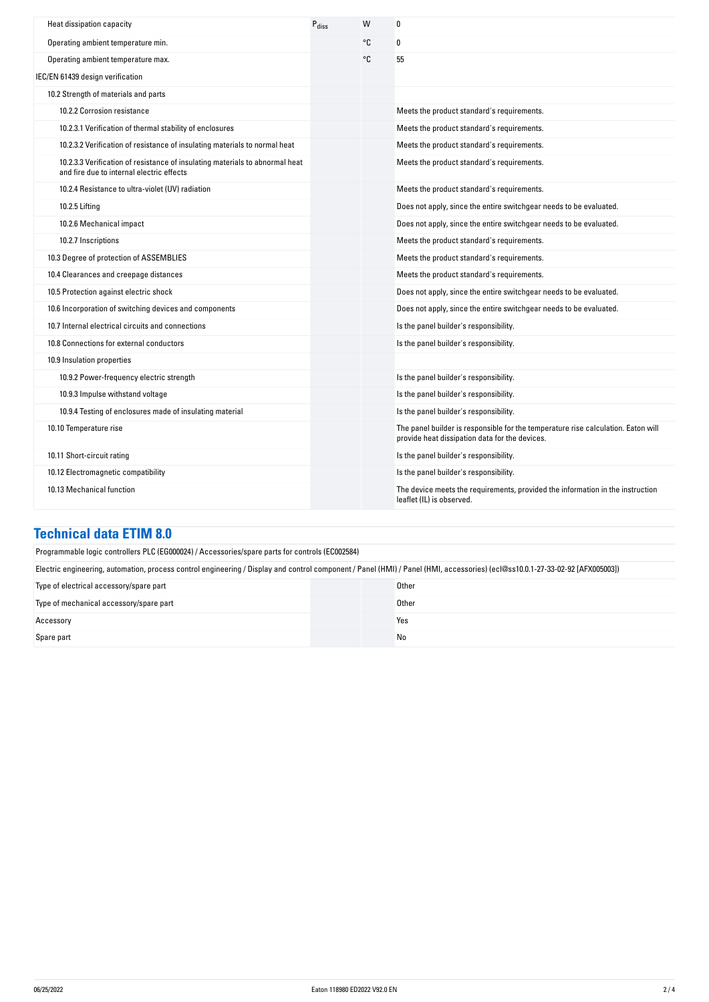| Heat dissipation capacity                                                                                                 | $P_{\text{diss}}$ | W  | 0                                                                                                                                   |
|---------------------------------------------------------------------------------------------------------------------------|-------------------|----|-------------------------------------------------------------------------------------------------------------------------------------|
| Operating ambient temperature min.                                                                                        |                   | °C | 0                                                                                                                                   |
| Operating ambient temperature max.                                                                                        |                   | °C | 55                                                                                                                                  |
| IEC/EN 61439 design verification                                                                                          |                   |    |                                                                                                                                     |
| 10.2 Strength of materials and parts                                                                                      |                   |    |                                                                                                                                     |
| 10.2.2 Corrosion resistance                                                                                               |                   |    | Meets the product standard's requirements.                                                                                          |
| 10.2.3.1 Verification of thermal stability of enclosures                                                                  |                   |    | Meets the product standard's requirements.                                                                                          |
| 10.2.3.2 Verification of resistance of insulating materials to normal heat                                                |                   |    | Meets the product standard's requirements.                                                                                          |
| 10.2.3.3 Verification of resistance of insulating materials to abnormal heat<br>and fire due to internal electric effects |                   |    | Meets the product standard's requirements.                                                                                          |
| 10.2.4 Resistance to ultra-violet (UV) radiation                                                                          |                   |    | Meets the product standard's requirements.                                                                                          |
| 10.2.5 Lifting                                                                                                            |                   |    | Does not apply, since the entire switchgear needs to be evaluated.                                                                  |
| 10.2.6 Mechanical impact                                                                                                  |                   |    | Does not apply, since the entire switchgear needs to be evaluated.                                                                  |
| 10.2.7 Inscriptions                                                                                                       |                   |    | Meets the product standard's requirements.                                                                                          |
| 10.3 Degree of protection of ASSEMBLIES                                                                                   |                   |    | Meets the product standard's requirements.                                                                                          |
| 10.4 Clearances and creepage distances                                                                                    |                   |    | Meets the product standard's requirements.                                                                                          |
| 10.5 Protection against electric shock                                                                                    |                   |    | Does not apply, since the entire switchgear needs to be evaluated.                                                                  |
| 10.6 Incorporation of switching devices and components                                                                    |                   |    | Does not apply, since the entire switchgear needs to be evaluated.                                                                  |
| 10.7 Internal electrical circuits and connections                                                                         |                   |    | Is the panel builder's responsibility.                                                                                              |
| 10.8 Connections for external conductors                                                                                  |                   |    | Is the panel builder's responsibility.                                                                                              |
| 10.9 Insulation properties                                                                                                |                   |    |                                                                                                                                     |
| 10.9.2 Power-frequency electric strength                                                                                  |                   |    | Is the panel builder's responsibility.                                                                                              |
| 10.9.3 Impulse withstand voltage                                                                                          |                   |    | Is the panel builder's responsibility.                                                                                              |
| 10.9.4 Testing of enclosures made of insulating material                                                                  |                   |    | Is the panel builder's responsibility.                                                                                              |
| 10.10 Temperature rise                                                                                                    |                   |    | The panel builder is responsible for the temperature rise calculation. Eaton will<br>provide heat dissipation data for the devices. |
| 10.11 Short-circuit rating                                                                                                |                   |    | Is the panel builder's responsibility.                                                                                              |
| 10.12 Electromagnetic compatibility                                                                                       |                   |    | Is the panel builder's responsibility.                                                                                              |
| 10.13 Mechanical function                                                                                                 |                   |    | The device meets the requirements, provided the information in the instruction<br>leaflet (IL) is observed.                         |

#### **Technical data ETIM 8.0**

| Programmable logic controllers PLC (EG000024) / Accessories/spare parts for controls (EC002584)                                                                               |       |  |
|-------------------------------------------------------------------------------------------------------------------------------------------------------------------------------|-------|--|
| Electric engineering, automation, process control engineering / Display and control component / Panel (HMI) / Panel (HMI, accessories) (ecl@ss10.0.1-27-33-02-92 [AFX005003]) |       |  |
| Type of electrical accessory/spare part                                                                                                                                       | Other |  |
| Type of mechanical accessory/spare part                                                                                                                                       | Other |  |
| Accessory                                                                                                                                                                     | Yes   |  |
| Spare part                                                                                                                                                                    | No    |  |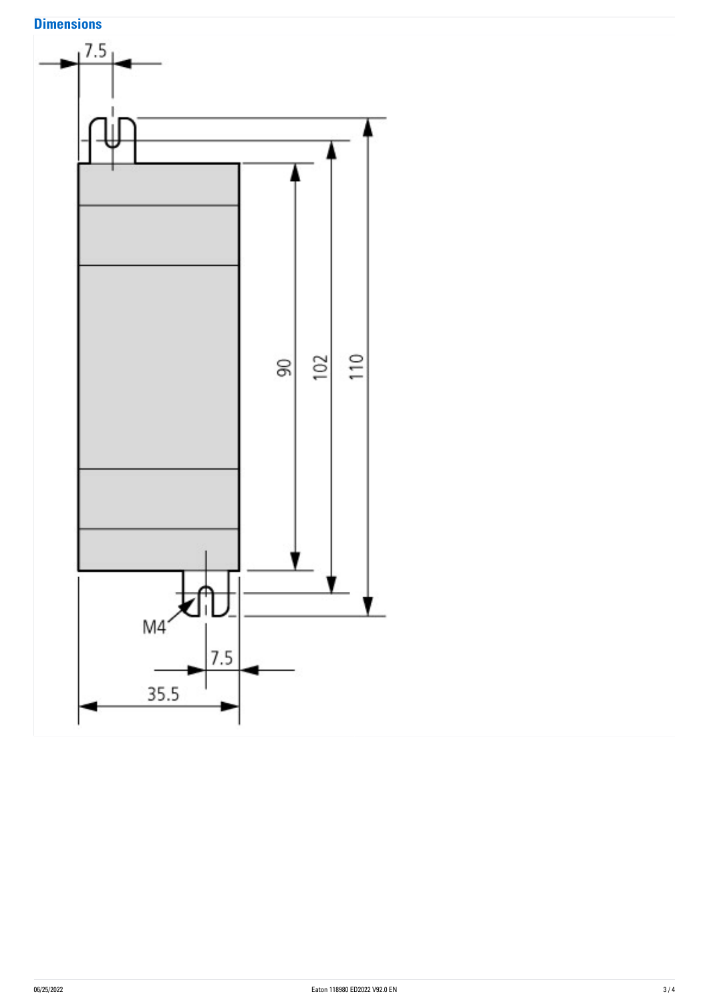# **Dimensions**